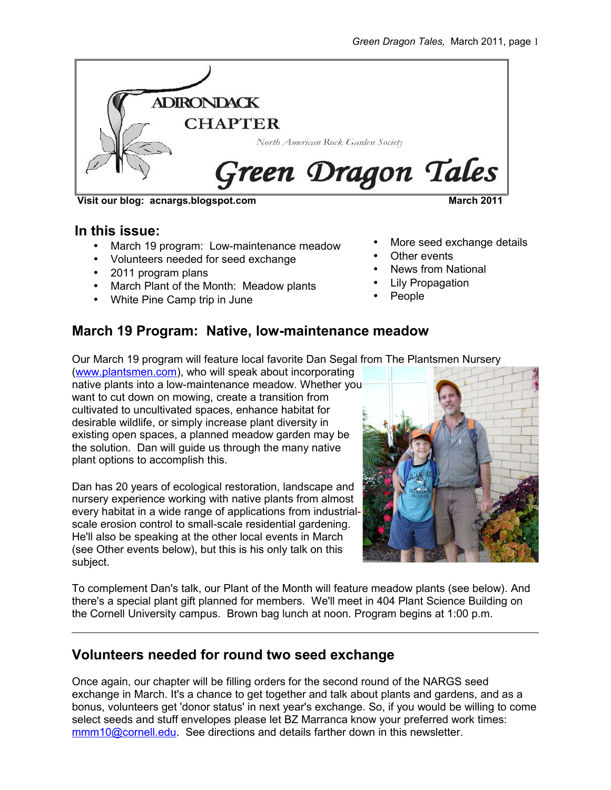

**Visit our blog: acnargs.blogspot.com March 2011**

#### **In this issue:**

- March 19 program: Low-maintenance meadow
- Volunteers needed for seed exchange
- 2011 program plans
- March Plant of the Month: Meadow plants
- White Pine Camp trip in June
- More seed exchange details
- Other events
- News from National
- Lily Propagation
- People

#### **March 19 Program: Native, low-maintenance meadow**

Our March 19 program will feature local favorite Dan Segal from The Plantsmen Nursery

[\(www.plantsmen.com\)](http://www.plantsmen.com/), who will speak about incorporating native plants into a low-maintenance meadow. Whether you want to cut down on mowing, create a transition from cultivated to uncultivated spaces, enhance habitat for desirable wildlife, or simply increase plant diversity in existing open spaces, a planned meadow garden may be the solution. Dan will guide us through the many native plant options to accomplish this.

Dan has 20 years of ecological restoration, landscape and nursery experience working with native plants from almost every habitat in a wide range of applications from industrialscale erosion control to small-scale residential gardening. He'll also be speaking at the other local events in March (see Other events below), but this is his only talk on this subject.



To complement Dan's talk, our Plant of the Month will feature meadow plants (see below). And there's a special plant gift planned for members. We'll meet in 404 Plant Science Building on the Cornell University campus. Brown bag lunch at noon. Program begins at 1:00 p.m.

#### **Volunteers needed for round two seed exchange**

Once again, our chapter will be filling orders for the second round of the NARGS seed exchange in March. It's a chance to get together and talk about plants and gardens, and as a bonus, volunteers get 'donor status' in next year's exchange. So, if you would be willing to come select seeds and stuff envelopes please let BZ Marranca know your preferred work times: [mmm10@cornell.edu.](mailto:mmm10@cornell.edu) See directions and details farther down in this newsletter.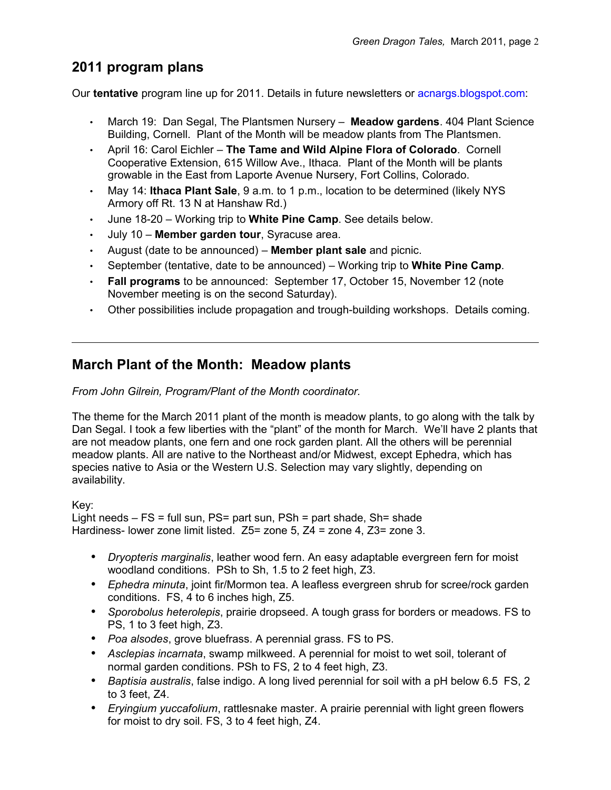## **2011 program plans**

Our **tentative** program line up for 2011. Details in future newsletters or acnargs.blogspot.com:

- March 19: Dan Segal, The Plantsmen Nursery **Meadow gardens**. 404 Plant Science Building, Cornell. Plant of the Month will be meadow plants from The Plantsmen.
- April 16: Carol Eichler **The Tame and Wild Alpine Flora of Colorado**. Cornell Cooperative Extension, 615 Willow Ave., Ithaca. Plant of the Month will be plants growable in the East from Laporte Avenue Nursery, Fort Collins, Colorado.
- May 14: **Ithaca Plant Sale**, 9 a.m. to 1 p.m., location to be determined (likely NYS Armory off Rt. 13 N at Hanshaw Rd.)
- June 18-20 Working trip to **White Pine Camp**. See details below.
- July 10 **Member garden tour**, Syracuse area.
- August (date to be announced) **Member plant sale** and picnic.
- September (tentative, date to be announced) Working trip to **White Pine Camp**.
- **Fall programs** to be announced: September 17, October 15, November 12 (note November meeting is on the second Saturday).
- Other possibilities include propagation and trough-building workshops. Details coming.

#### **March Plant of the Month: Meadow plants**

#### *From John Gilrein, Program/Plant of the Month coordinator.*

The theme for the March 2011 plant of the month is meadow plants, to go along with the talk by Dan Segal. I took a few liberties with the "plant" of the month for March. We'll have 2 plants that are not meadow plants, one fern and one rock garden plant. All the others will be perennial meadow plants. All are native to the Northeast and/or Midwest, except Ephedra, which has species native to Asia or the Western U.S. Selection may vary slightly, depending on availability.

Key:

Light needs – FS = full sun, PS= part sun, PSh = part shade, Sh= shade Hardiness- lower zone limit listed. Z5= zone 5, Z4 = zone 4, Z3= zone 3.

- *Dryopteris marginalis*, leather wood fern. An easy adaptable evergreen fern for moist woodland conditions. PSh to Sh, 1.5 to 2 feet high, Z3.
- *Ephedra minuta*, joint fir/Mormon tea. A leafless evergreen shrub for scree/rock garden conditions. FS, 4 to 6 inches high, Z5.
- *Sporobolus heterolepis*, prairie dropseed. A tough grass for borders or meadows. FS to PS, 1 to 3 feet high, Z3.
- *Poa alsodes*, grove bluefrass. A perennial grass. FS to PS.
- *Asclepias incarnata*, swamp milkweed. A perennial for moist to wet soil, tolerant of normal garden conditions. PSh to FS, 2 to 4 feet high, Z3.
- *Baptisia australis*, false indigo. A long lived perennial for soil with a pH below 6.5 FS, 2 to 3 feet, Z4.
- *Eryingium yuccafolium*, rattlesnake master. A prairie perennial with light green flowers for moist to dry soil. FS, 3 to 4 feet high, Z4.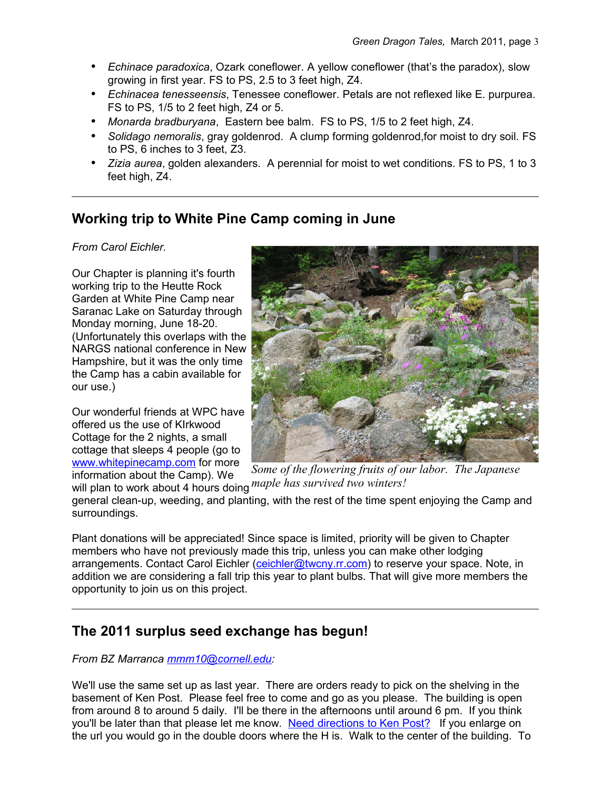- *Echinace paradoxica*, Ozark coneflower. A yellow coneflower (that's the paradox), slow growing in first year. FS to PS, 2.5 to 3 feet high, Z4.
- *Echinacea tenesseensis*, Tenessee coneflower. Petals are not reflexed like E. purpurea. FS to PS, 1/5 to 2 feet high, Z4 or 5.
- *Monarda bradburyana*, Eastern bee balm. FS to PS, 1/5 to 2 feet high, Z4.
- *Solidago nemoralis*, gray goldenrod. A clump forming goldenrod,for moist to dry soil. FS to PS, 6 inches to 3 feet, Z3.
- *Zizia aurea*, golden alexanders. A perennial for moist to wet conditions. FS to PS, 1 to 3 feet high, Z4.

### **Working trip to White Pine Camp coming in June**

#### *From Carol Eichler.*

Our Chapter is planning it's fourth working trip to the Heutte Rock Garden at White Pine Camp near Saranac Lake on Saturday through Monday morning, June 18-20. (Unfortunately this overlaps with the NARGS national conference in New Hampshire, but it was the only time the Camp has a cabin available for our use.)

Our wonderful friends at WPC have offered us the use of KIrkwood Cottage for the 2 nights, a small cottage that sleeps 4 people (go to [www.whitepinecamp.com](http://www.whitepinecamp.com/) for more information about the Camp). We



will plan to work about 4 hours doing *maple has survived two winters!Some of the flowering fruits of our labor. The Japanese*

general clean-up, weeding, and planting, with the rest of the time spent enjoying the Camp and surroundings.

Plant donations will be appreciated! Since space is limited, priority will be given to Chapter members who have not previously made this trip, unless you can make other lodging arrangements. Contact Carol Eichler [\(ceichler@twcny.rr.com\)](mailto:ceichler@twcny.rr.com) to reserve your space. Note, in addition we are considering a fall trip this year to plant bulbs. That will give more members the opportunity to join us on this project.

### **The 2011 surplus seed exchange has begun!**

#### *From BZ Marranca [mmm10@cornell.edu:](mailto:mmm10@cornell.edu)*

We'll use the same set up as last year. There are orders ready to pick on the shelving in the basement of Ken Post. Please feel free to come and go as you please. The building is open from around 8 to around 5 daily. I'll be there in the afternoons until around 6 pm. If you think you'll be later than that please let me know. [Need directions to Ken Post?](http://www.cuaes.cornell.edu/cals/cuaes/ag-operations/greenhouses/upload/Map_CALS_Greenhouses_2007-11-08.jpg%20) If you enlarge on the url you would go in the double doors where the H is. Walk to the center of the building. To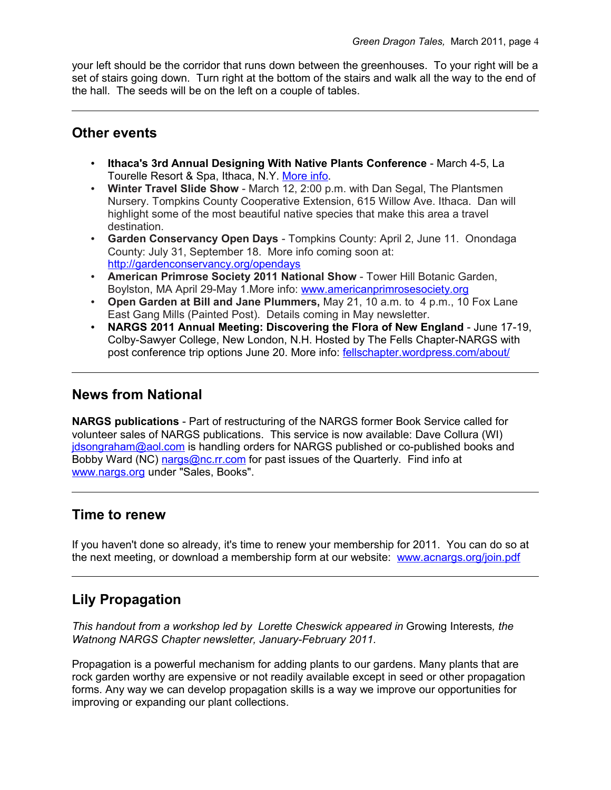your left should be the corridor that runs down between the greenhouses. To your right will be a set of stairs going down. Turn right at the bottom of the stairs and walk all the way to the end of the hall. The seeds will be on the left on a couple of tables.

#### **Other events**

- **Ithaca's 3rd Annual Designing With Native Plants Conference** March 4-5, La Tourelle Resort & Spa, Ithaca, N.Y. [More info.](http://events.r20.constantcontact.com/register/event?oeidk=a07e34lo0nn53db6548&llr=qhf8yceab%20)
- **Winter Travel Slide Show** March 12, 2:00 p.m. with Dan Segal, The Plantsmen Nursery. Tompkins County Cooperative Extension, 615 Willow Ave. Ithaca. Dan will highlight some of the most beautiful native species that make this area a travel destination.
- **Garden Conservancy Open Days** Tompkins County: April 2, June 11. Onondaga County: July 31, September 18. More info coming soon at: <http://gardenconservancy.org/opendays>
- **American Primrose Society 2011 National Show**  Tower Hill Botanic Garden, Boylston, MA April 29-May 1.More info: [www.americanprimrosesociety.org](http://www.americanprimrosesociety.org/)
- **Open Garden at Bill and Jane Plummers,** May 21, 10 a.m. to 4 p.m., 10 Fox Lane East Gang Mills (Painted Post). Details coming in May newsletter.
- **NARGS 2011 Annual Meeting: Discovering the Flora of New England** June 17-19, Colby-Sawyer College, New London, N.H. Hosted by The Fells Chapter-NARGS with post conference trip options June 20. More info: [fellschapter.wordpress.com/about/](http://fellschapter.wordpress.com/about/)

### **News from National**

**NARGS publications** - Part of restructuring of the NARGS former Book Service called for volunteer sales of NARGS publications. This service is now available: Dave Collura (WI) [jdsongraham@aol.com](mailto:jdsongraham@aol.com) is handling orders for NARGS published or co-published books and Bobby Ward (NC) [nargs@nc.rr.com](mailto:nargs@nc.rr.com) for past issues of the Quarterly. Find info at [www.nargs.org](http://www.nargs.org/) under "Sales, Books".

#### **Time to renew**

If you haven't done so already, it's time to renew your membership for 2011. You can do so at the next meeting, or download a membership form at our website: [www.acnargs.org/join.pdf](http://www.acnargs.org/join.pdf)

## **Lily Propagation**

*This handout from a workshop led by Lorette Cheswick appeared in* Growing Interests*, the Watnong NARGS Chapter newsletter, January-February 2011.*

Propagation is a powerful mechanism for adding plants to our gardens. Many plants that are rock garden worthy are expensive or not readily available except in seed or other propagation forms. Any way we can develop propagation skills is a way we improve our opportunities for improving or expanding our plant collections.